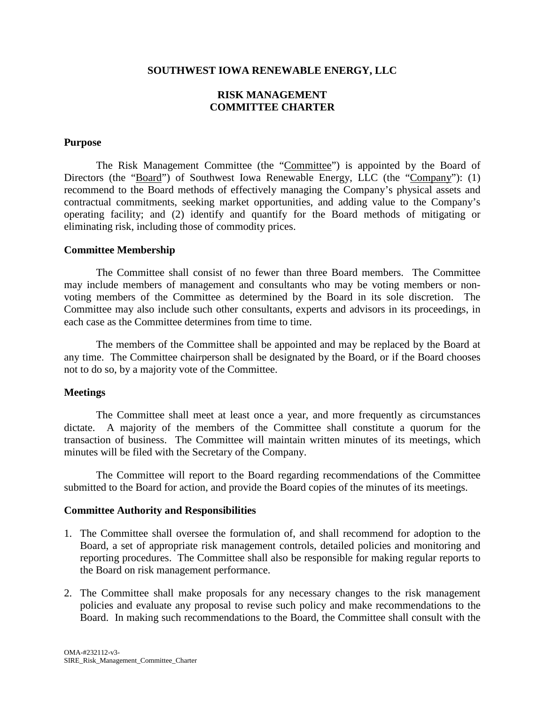### **SOUTHWEST IOWA RENEWABLE ENERGY, LLC**

# **RISK MANAGEMENT COMMITTEE CHARTER**

### **Purpose**

The Risk Management Committee (the "Committee") is appointed by the Board of Directors (the "Board") of Southwest Iowa Renewable Energy, LLC (the "Company"): (1) recommend to the Board methods of effectively managing the Company's physical assets and contractual commitments, seeking market opportunities, and adding value to the Company's operating facility; and (2) identify and quantify for the Board methods of mitigating or eliminating risk, including those of commodity prices.

## **Committee Membership**

The Committee shall consist of no fewer than three Board members. The Committee may include members of management and consultants who may be voting members or nonvoting members of the Committee as determined by the Board in its sole discretion. The Committee may also include such other consultants, experts and advisors in its proceedings, in each case as the Committee determines from time to time.

The members of the Committee shall be appointed and may be replaced by the Board at any time. The Committee chairperson shall be designated by the Board, or if the Board chooses not to do so, by a majority vote of the Committee.

# **Meetings**

The Committee shall meet at least once a year, and more frequently as circumstances dictate. A majority of the members of the Committee shall constitute a quorum for the transaction of business. The Committee will maintain written minutes of its meetings, which minutes will be filed with the Secretary of the Company.

The Committee will report to the Board regarding recommendations of the Committee submitted to the Board for action, and provide the Board copies of the minutes of its meetings.

# **Committee Authority and Responsibilities**

- 1. The Committee shall oversee the formulation of, and shall recommend for adoption to the Board, a set of appropriate risk management controls, detailed policies and monitoring and reporting procedures. The Committee shall also be responsible for making regular reports to the Board on risk management performance.
- 2. The Committee shall make proposals for any necessary changes to the risk management policies and evaluate any proposal to revise such policy and make recommendations to the Board. In making such recommendations to the Board, the Committee shall consult with the